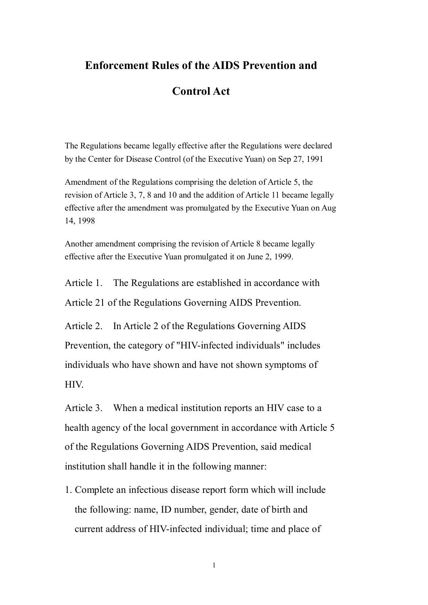## **Enforcement Rules of the AIDS Prevention and**

## **Control Act**

The Regulations became legally effective after the Regulations were declared by the Center for Disease Control (of the Executive Yuan) on Sep 27, 1991

Amendment of the Regulations comprising the deletion of Article 5, the revision of Article 3, 7, 8 and 10 and the addition of Article 11 became legally effective after the amendment was promulgated by the Executive Yuan on Aug 14, 1998

Another amendment comprising the revision of Article 8 became legally effective after the Executive Yuan promulgated it on June 2, 1999.

Article 1. The Regulations are established in accordance with Article 21 of the Regulations Governing AIDS Prevention.

Article 2. In Article 2 of the Regulations Governing AIDS Prevention, the category of "HIV-infected individuals" includes individuals who have shown and have not shown symptoms of HIV.

Article 3. When a medical institution reports an HIV case to a health agency of the local government in accordance with Article 5 of the Regulations Governing AIDS Prevention, said medical institution shall handle it in the following manner:

1. Complete an infectious disease report form which will include the following: name, ID number, gender, date of birth and current address of HIV-infected individual; time and place of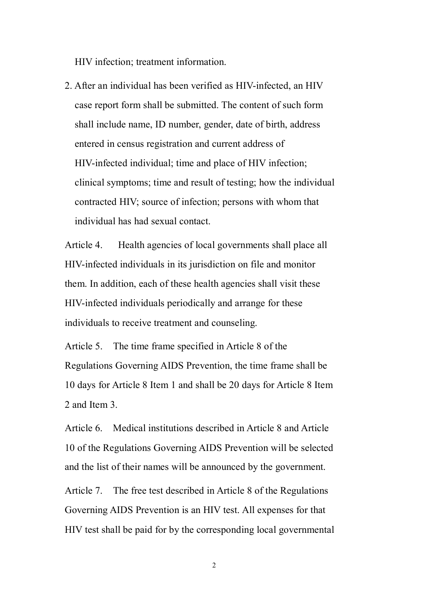HIV infection; treatment information.

2. After an individual has been verified as HIV-infected, an HIV case report form shall be submitted. The content of such form shall include name, ID number, gender, date of birth, address entered in census registration and current address of HIV-infected individual; time and place of HIV infection; clinical symptoms; time and result of testing; how the individual contracted HIV; source of infection; persons with whom that individual has had sexual contact.

Article 4. Health agencies of local governments shall place all HIV-infected individuals in its jurisdiction on file and monitor them. In addition, each of these health agencies shall visit these HIV-infected individuals periodically and arrange for these individuals to receive treatment and counseling.

Article 5. The time frame specified in Article 8 of the Regulations Governing AIDS Prevention, the time frame shall be 10 days for Article 8 Item 1 and shall be 20 days for Article 8 Item 2 and Item 3.

Article 6. Medical institutions described in Article 8 and Article 10 of the Regulations Governing AIDS Prevention will be selected and the list of their names will be announced by the government.

Article 7. The free test described in Article 8 of the Regulations Governing AIDS Prevention is an HIV test. All expenses for that HIV test shall be paid for by the corresponding local governmental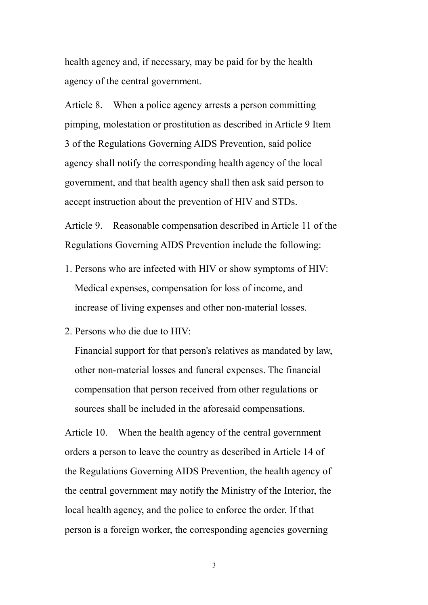health agency and, if necessary, may be paid for by the health agency of the central government.

Article 8. When a police agency arrests a person committing pimping, molestation or prostitution as described in Article 9 Item 3 of the Regulations Governing AIDS Prevention, said police agency shall notify the corresponding health agency of the local government, and that health agency shall then ask said person to accept instruction about the prevention of HIV and STDs.

Article 9. Reasonable compensation described in Article 11 of the Regulations Governing AIDS Prevention include the following:

- 1. Persons who are infected with HIV or show symptoms of HIV: Medical expenses, compensation for loss of income, and increase of living expenses and other non-material losses.
- 2. Persons who die due to HIV:

Financial support for that person's relatives as mandated by law, other non-material losses and funeral expenses. The financial compensation that person received from other regulations or sources shall be included in the aforesaid compensations.

Article 10. When the health agency of the central government orders a person to leave the country as described in Article 14 of the Regulations Governing AIDS Prevention, the health agency of the central government may notify the Ministry of the Interior, the local health agency, and the police to enforce the order. If that person is a foreign worker, the corresponding agencies governing

3